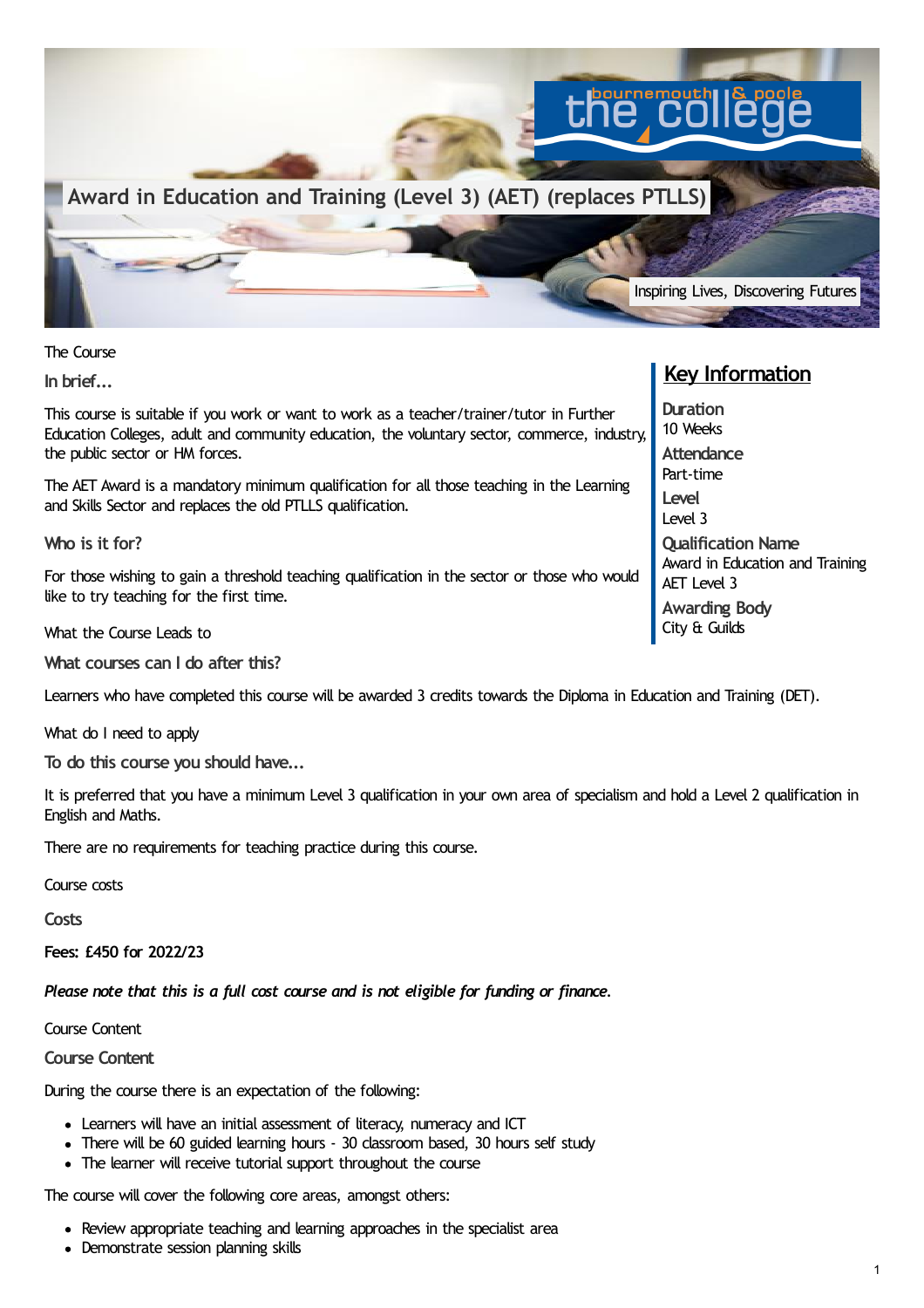

The Course

**In brief...**

This course is suitable if you work or want to work as a teacher/trainer/tutor in Further Education Colleges, adult and community education, the voluntary sector, commerce, industry, the public sector or HM forces.

The AET Award is a mandatory minimum qualification for all those teaching in the Learning and Skills Sector and replaces the old PTLLS qualification.

**Who is it for?**

For those wishing to gain a threshold teaching qualification in the sector or those who would like to try teaching for the first time.

What the Course Leads to

**What courses can I do after this?**

Learners who have completed this course will be awarded 3 credits towards the Diploma in Education and Training (DET).

What do I need to apply

**To do this course you should have...**

It is preferred that you have a minimum Level 3 qualification in your own area of specialism and hold a Level 2 qualification in English and Maths.

There are no requirements for teaching practice during this course.

Course costs

**Costs**

**Fees: £450 for 2022/23**

*Please note that this is a full cost course and is not eligible for funding or finance.*

Course Content

**Course Content**

During the course there is an expectation of the following:

- Learners will have an initial assessment of literacy, numeracy and ICT
- There will be 60 guided learning hours 30 classroom based, 30 hours self study
- The learner will receive tutorial support throughout the course

The course will cover the following core areas, amongst others:

- Review appropriate teaching and learning approaches in the specialist area
- Demonstrate session planning skills

## **Key Information**

**Duration** 10 Weeks **Attendance** Part-time **Level** Level 3 **Qualification Name** Award in Education and Training AET Level 3 **Awarding Body** City & Guilds